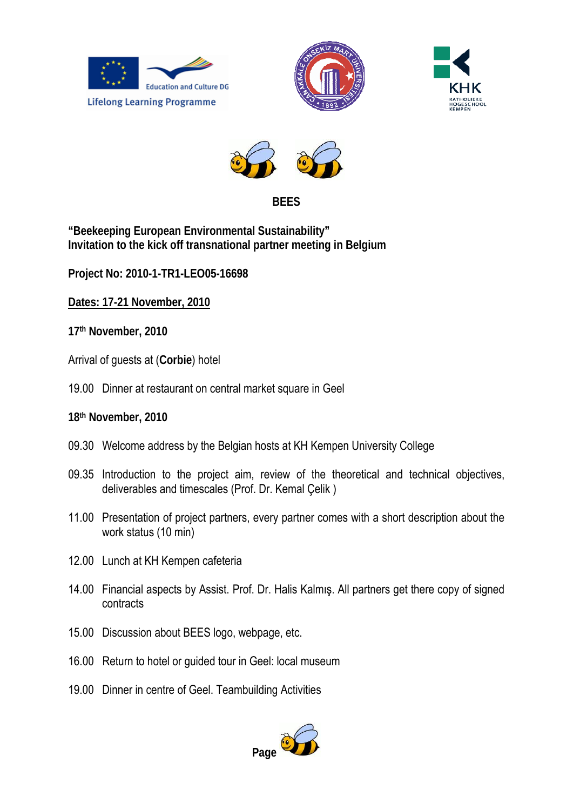







## **BEES**

**"Beekeeping European Environmental Sustainability" Invitation to the kick off transnational partner meeting in Belgium** 

**Project No: 2010-1-TR1-LEO05-16698** 

**Dates: 17-21 November, 2010**

**17th November, 2010** 

- Arrival of guests at (**Corbie**) hotel
- 19.00 Dinner at restaurant on central market square in Geel
- **18th November, 2010**
- 09.30 Welcome address by the Belgian hosts at KH Kempen University College
- 09.35 Introduction to the project aim, review of the theoretical and technical objectives, deliverables and timescales (Prof. Dr. Kemal Çelik )
- 11.00 Presentation of project partners, every partner comes with a short description about the work status (10 min)
- 12.00 Lunch at KH Kempen cafeteria
- 14.00 Financial aspects by Assist. Prof. Dr. Halis Kalmış. All partners get there copy of signed contracts
- 15.00 Discussion about BEES logo, webpage, etc.
- 16.00 Return to hotel or guided tour in Geel: local museum
- 19.00 Dinner in centre of Geel. Teambuilding Activities